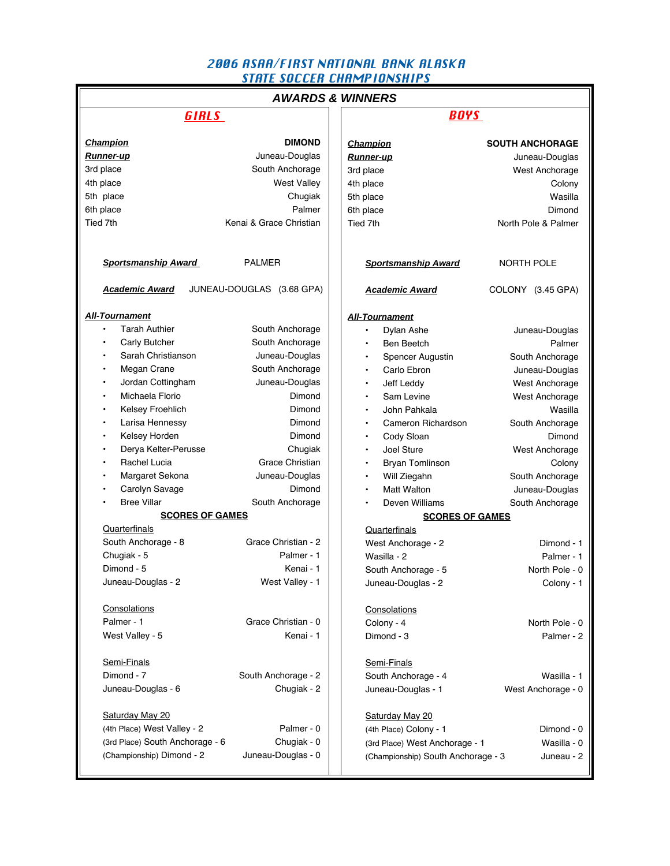# 2006 ASAA/FIRST NATIONAL BANK ALASKA STATE SOCCER CHAMPIONSHIPS

| <b>AWARDS &amp; WINNERS</b>     |                           |  |                                    |                        |  |  |
|---------------------------------|---------------------------|--|------------------------------------|------------------------|--|--|
| <b>GIRLS</b>                    |                           |  | <b>BOYS</b>                        |                        |  |  |
|                                 |                           |  |                                    |                        |  |  |
| <b>Champion</b>                 | <b>DIMOND</b>             |  | <b>Champion</b>                    | <b>SOUTH ANCHORAGE</b> |  |  |
| <b>Runner-up</b>                | Juneau-Douglas            |  | <b>Runner-up</b>                   | Juneau-Douglas         |  |  |
| 3rd place                       | South Anchorage           |  | 3rd place                          | West Anchorage         |  |  |
| 4th place                       | <b>West Valley</b>        |  | 4th place                          | Colony                 |  |  |
| 5th place                       | Chugiak                   |  | 5th place                          | Wasilla                |  |  |
| 6th place                       | Palmer                    |  | 6th place                          | Dimond                 |  |  |
| Tied 7th                        | Kenai & Grace Christian   |  | Tied 7th                           | North Pole & Palmer    |  |  |
|                                 |                           |  |                                    |                        |  |  |
| <b>Sportsmanship Award</b>      | <b>PALMER</b>             |  | <b>Sportsmanship Award</b>         | <b>NORTH POLE</b>      |  |  |
| <b>Academic Award</b>           | JUNEAU-DOUGLAS (3.68 GPA) |  | <b>Academic Award</b>              | COLONY (3.45 GPA)      |  |  |
| <b>All-Tournament</b>           |                           |  | <b>All-Tournament</b>              |                        |  |  |
| <b>Tarah Authier</b>            | South Anchorage           |  | $\bullet$                          |                        |  |  |
| Carly Butcher                   |                           |  | Dylan Ashe                         | Juneau-Douglas         |  |  |
| Sarah Christianson<br>$\bullet$ | South Anchorage           |  | <b>Ben Beetch</b>                  | Palmer                 |  |  |
|                                 | Juneau-Douglas            |  | Spencer Augustin                   | South Anchorage        |  |  |
| Megan Crane<br>$\bullet$        | South Anchorage           |  | Carlo Ebron                        | Juneau-Douglas         |  |  |
| Jordan Cottingham<br>$\bullet$  | Juneau-Douglas            |  | Jeff Leddy<br>$\bullet$            | West Anchorage         |  |  |
| Michaela Florio<br>$\bullet$    | Dimond                    |  | Sam Levine<br>$\bullet$            | West Anchorage         |  |  |
| Kelsey Froehlich<br>$\bullet$   | Dimond                    |  | John Pahkala<br>$\bullet$          | Wasilla                |  |  |
| Larisa Hennessy<br>$\bullet$    | Dimond                    |  | Cameron Richardson<br>$\bullet$    | South Anchorage        |  |  |
| Kelsey Horden<br>$\bullet$      | Dimond                    |  | Cody Sloan<br>٠                    | Dimond                 |  |  |
| Derya Kelter-Perusse            | Chugiak                   |  | Joel Sture<br>$\bullet$            | West Anchorage         |  |  |
| Rachel Lucia                    | Grace Christian           |  | <b>Bryan Tomlinson</b>             | Colony                 |  |  |
| Margaret Sekona<br>$\bullet$    | Juneau-Douglas            |  | Will Ziegahn                       | South Anchorage        |  |  |
| Carolyn Savage                  | Dimond                    |  | <b>Matt Walton</b>                 | Juneau-Douglas         |  |  |
| <b>Bree Villar</b>              | South Anchorage           |  | Deven Williams                     | South Anchorage        |  |  |
| <b>SCORES OF GAMES</b>          |                           |  | <b>SCORES OF GAMES</b>             |                        |  |  |
| Quarterfinals                   |                           |  | Quarterfinals                      |                        |  |  |
| South Anchorage - 8             | Grace Christian - 2       |  | West Anchorage - 2                 | Dimond - 1             |  |  |
| Chugiak - 5                     | Palmer - 1                |  | Wasilla - 2                        | Palmer - 1             |  |  |
| Dimond - 5                      | Kenai - 1                 |  | South Anchorage - 5                | North Pole - 0         |  |  |
| Juneau-Douglas - 2              | West Valley - 1           |  | Juneau-Douglas - 2                 | Colony - 1             |  |  |
|                                 |                           |  |                                    |                        |  |  |
| Consolations                    |                           |  | Consolations                       |                        |  |  |
| Palmer - 1                      | Grace Christian - 0       |  | Colony - 4                         | North Pole - 0         |  |  |
| West Valley - 5                 | Kenai - 1                 |  | Dimond - 3                         | Palmer - 2             |  |  |
| Semi-Finals                     |                           |  | Semi-Finals                        |                        |  |  |
| Dimond - 7                      | South Anchorage - 2       |  | South Anchorage - 4                | Wasilla - 1            |  |  |
| Juneau-Douglas - 6              | Chugiak - 2               |  | Juneau-Douglas - 1                 | West Anchorage - 0     |  |  |
| Saturday May 20                 |                           |  | Saturday May 20                    |                        |  |  |
| (4th Place) West Valley - 2     | Palmer - 0                |  |                                    | Dimond - 0             |  |  |
|                                 | Chugiak - 0               |  | (4th Place) Colony - 1             |                        |  |  |
| (3rd Place) South Anchorage - 6 |                           |  | (3rd Place) West Anchorage - 1     | Wasilla - 0            |  |  |
| (Championship) Dimond - 2       | Juneau-Douglas - 0        |  | (Championship) South Anchorage - 3 | Juneau - 2             |  |  |